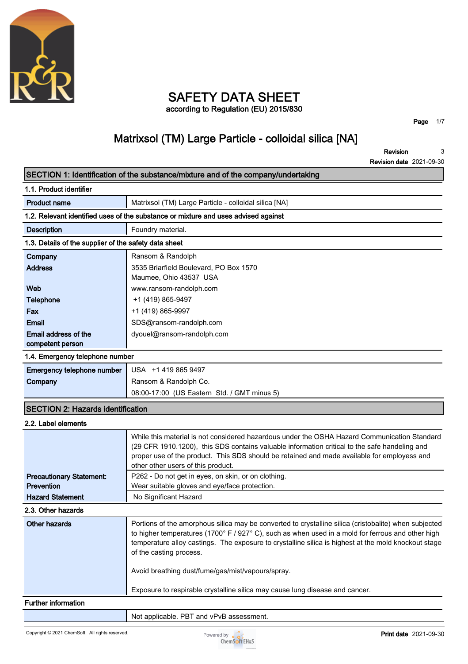

## **SAFETY DATA SHEET according to Regulation (EU) 2015/830**

**Page 1/7**

# **Matrixsol (TM) Large Particle - colloidal silica [NA]**

**Revision Revision date 2021-09-30 3**

| SECTION 1: Identification of the substance/mixture and of the company/undertaking |                                                                                                                                                                                                                                                                                                                                               |
|-----------------------------------------------------------------------------------|-----------------------------------------------------------------------------------------------------------------------------------------------------------------------------------------------------------------------------------------------------------------------------------------------------------------------------------------------|
| 1.1. Product identifier                                                           |                                                                                                                                                                                                                                                                                                                                               |
| <b>Product name</b>                                                               | Matrixsol (TM) Large Particle - colloidal silica [NA]                                                                                                                                                                                                                                                                                         |
|                                                                                   | 1.2. Relevant identified uses of the substance or mixture and uses advised against                                                                                                                                                                                                                                                            |
| <b>Description</b>                                                                | Foundry material.                                                                                                                                                                                                                                                                                                                             |
| 1.3. Details of the supplier of the safety data sheet                             |                                                                                                                                                                                                                                                                                                                                               |
| Company                                                                           | Ransom & Randolph                                                                                                                                                                                                                                                                                                                             |
| <b>Address</b>                                                                    | 3535 Briarfield Boulevard, PO Box 1570<br>Maumee, Ohio 43537 USA                                                                                                                                                                                                                                                                              |
| Web                                                                               | www.ransom-randolph.com                                                                                                                                                                                                                                                                                                                       |
| <b>Telephone</b>                                                                  | +1 (419) 865-9497                                                                                                                                                                                                                                                                                                                             |
| Fax                                                                               | +1 (419) 865-9997                                                                                                                                                                                                                                                                                                                             |
| <b>Email</b>                                                                      | SDS@ransom-randolph.com                                                                                                                                                                                                                                                                                                                       |
| Email address of the                                                              | dyouel@ransom-randolph.com                                                                                                                                                                                                                                                                                                                    |
| competent person                                                                  |                                                                                                                                                                                                                                                                                                                                               |
| 1.4. Emergency telephone number                                                   |                                                                                                                                                                                                                                                                                                                                               |
| <b>Emergency telephone number</b>                                                 | USA +1 419 865 9497                                                                                                                                                                                                                                                                                                                           |
| Company                                                                           | Ransom & Randolph Co.                                                                                                                                                                                                                                                                                                                         |
|                                                                                   | 08:00-17:00 (US Eastern Std. / GMT minus 5)                                                                                                                                                                                                                                                                                                   |
| <b>SECTION 2: Hazards identification</b>                                          |                                                                                                                                                                                                                                                                                                                                               |
| 2.2. Label elements                                                               |                                                                                                                                                                                                                                                                                                                                               |
|                                                                                   | While this material is not considered hazardous under the OSHA Hazard Communication Standard<br>(29 CFR 1910.1200), this SDS contains valuable information critical to the safe handeling and<br>proper use of the product. This SDS should be retained and made available for employess and<br>other other users of this product.            |
| <b>Precautionary Statement:</b>                                                   | P262 - Do not get in eyes, on skin, or on clothing.                                                                                                                                                                                                                                                                                           |
| Prevention                                                                        | Wear suitable gloves and eye/face protection.                                                                                                                                                                                                                                                                                                 |
| <b>Hazard Statement</b>                                                           | No Significant Hazard                                                                                                                                                                                                                                                                                                                         |
| 2.3. Other hazards                                                                |                                                                                                                                                                                                                                                                                                                                               |
| <b>Other hazards</b>                                                              | Portions of the amorphous silica may be converted to crystalline silica (cristobalite) when subjected<br>to higher temperatures (1700° F / 927° C), such as when used in a mold for ferrous and other high<br>temperature alloy castings. The exposure to crystalline silica is highest at the mold knockout stage<br>of the casting process. |
|                                                                                   | Avoid breathing dust/fume/gas/mist/vapours/spray.                                                                                                                                                                                                                                                                                             |
|                                                                                   | Exposure to respirable crystalline silica may cause lung disease and cancer.                                                                                                                                                                                                                                                                  |
| <b>Further information</b>                                                        |                                                                                                                                                                                                                                                                                                                                               |
|                                                                                   |                                                                                                                                                                                                                                                                                                                                               |

**Not applicable. PBT and vPvB assessment.**

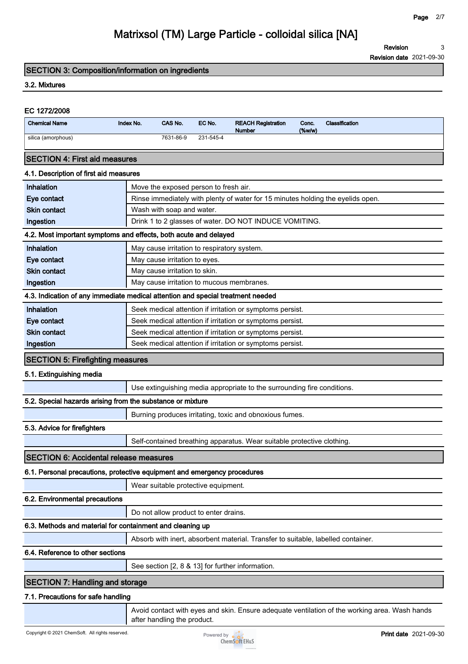**Revision 3**

**Revision date 2021-09-30**

### **SECTION 3: Composition/information on ingredients**

#### **3.2. Mixtures**

# **EC 1272/2008 Chemical Name Index No. CAS No. EC No. REACH Registration Number Conc. (%w/w) Classification silica (amorphous) 7631-86-9 231-545-4 SECTION 4: First aid measures 4.1. Description of first aid measures Inhalation Move the exposed person to fresh air. Eye contact Rinse immediately with plenty of water for 15 minutes holding the eyelids open. Skin contact Wash with soap and water. Ingestion Drink 1 to 2 glasses of water. DO NOT INDUCE VOMITING. 4.2. Most important symptoms and effects, both acute and delayed Inhalation May cause irritation to respiratory system. Eye contact May cause irritation to eyes. Skin contact May cause irritation to skin. Ingestion May cause irritation to mucous membranes. 4.3. Indication of any immediate medical attention and special treatment needed Inhalation Seek medical attention if irritation or symptoms persist. Eye contact Seek medical attention if irritation or symptoms persist. Skin contact Seek medical attention if irritation or symptoms persist. Ingestion Seek medical attention if irritation or symptoms persist. SECTION 5: Firefighting measures 5.1. Extinguishing media Use extinguishing media appropriate to the surrounding fire conditions. 5.2. Special hazards arising from the substance or mixture Burning produces irritating, toxic and obnoxious fumes. 5.3. Advice for firefighters Self-contained breathing apparatus. Wear suitable protective clothing. SECTION 6: Accidental release measures 6.1. Personal precautions, protective equipment and emergency procedures Wear suitable protective equipment. 6.2. Environmental precautions Do not allow product to enter drains.**

### **6.3. Methods and material for containment and cleaning up**

**Absorb with inert, absorbent material. Transfer to suitable, labelled container.**

#### **6.4. Reference to other sections**

**See section [2, 8 & 13] for further information.**

## **SECTION 7: Handling and storage**

#### **7.1. Precautions for safe handling**

**Avoid contact with eyes and skin. Ensure adequate ventilation of the working area. Wash hands after handling the product.**

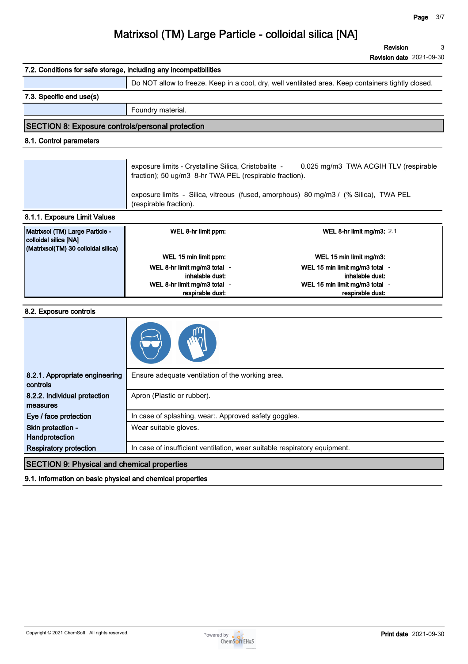**3**

**Revision**

# **Matrixsol (TM) Large Particle - colloidal silica [NA]**

**Revision date 2021-09-30 7.2. Conditions for safe storage, including any incompatibilities Do NOT allow to freeze. Keep in a cool, dry, well ventilated area. Keep containers tightly closed. 7.3. Specific end use(s) Foundry material. SECTION 8: Exposure controls/personal protection 8.1. Control parameters exposure limits - Crystalline Silica, Cristobalite - 0.025 mg/m3 TWA ACGIH TLV (respirable fraction); 50 ug/m3 8-hr TWA PEL (respirable fraction). exposure limits - Silica, vitreous (fused, amorphous) 80 mg/m3 / (% Silica), TWA PEL (respirable fraction). 8.1.1. Exposure Limit Values Matrixsol (TM) Large Particle - colloidal silica [NA] (Matrixsol(TM) 30 colloidal silica) WEL 8-hr limit ppm: WEL 8-hr limit mg/m3: 2.1 WEL 15 min limit ppm: WEL 15 min limit mg/m3: WEL 8-hr limit mg/m3 total inhalable dust: - WEL 15 min limit mg/m3 total inhalable dust: - WEL 8-hr limit mg/m3 total respirable dust: - WEL 15 min limit mg/m3 total respirable dust: - 8.2. Exposure controls 8.2.1. Appropriate engineering controls Ensure adequate ventilation of the working area. 8.2.2. Individual protection measures Apron (Plastic or rubber). Eye / face protection In case of splashing, wear:. Approved safety goggles. Skin protection - Handprotection Wear suitable gloves. Respiratory protection In case of insufficient ventilation, wear suitable respiratory equipment. SECTION 9: Physical and chemical properties**

**9.1. Information on basic physical and chemical properties**

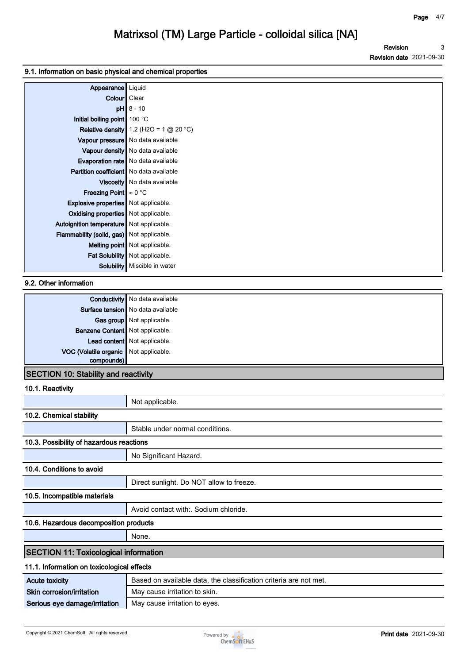### **9.1. Information on basic physical and chemical properties**

| Appearance                                     | Liquid                                          |
|------------------------------------------------|-------------------------------------------------|
| Colour   Clear                                 |                                                 |
|                                                | $pH$ 8 - 10                                     |
| Initial boiling point 100 °C                   |                                                 |
|                                                | <b>Relative density</b> 1.2 (H2O = 1 $@$ 20 °C) |
|                                                | Vapour pressure No data available               |
|                                                | Vapour density   No data available              |
|                                                | Evaporation rate   No data available            |
| <b>Partition coefficient</b> No data available |                                                 |
|                                                | Viscosity   No data available                   |
| <b>Freezing Point</b> $\approx 0$ °C           |                                                 |
| <b>Explosive properties</b> Not applicable.    |                                                 |
| Oxidising properties   Not applicable.         |                                                 |
| Autoignition temperature   Not applicable.     |                                                 |
| Flammability (solid, gas) Not applicable.      |                                                 |
|                                                | Melting point   Not applicable.                 |
|                                                | Fat Solubility   Not applicable.                |
|                                                | Solubility   Miscible in water                  |

### **9.2. Other information**

|                                       | <b>Conductivity</b> No data available |
|---------------------------------------|---------------------------------------|
|                                       | Surface tension   No data available   |
|                                       | Gas group Not applicable.             |
| Benzene Content Not applicable.       |                                       |
|                                       | Lead content Not applicable.          |
| VOC (Volatile organic Not applicable. |                                       |
| compounds)                            |                                       |
|                                       |                                       |

## **SECTION 10: Stability and reactivity**

### **10.1. Reactivity**

|                                              | Not applicable.                                                   |
|----------------------------------------------|-------------------------------------------------------------------|
| 10.2. Chemical stability                     |                                                                   |
|                                              | Stable under normal conditions.                                   |
| 10.3. Possibility of hazardous reactions     |                                                                   |
|                                              | No Significant Hazard.                                            |
| 10.4. Conditions to avoid                    |                                                                   |
|                                              | Direct sunlight. Do NOT allow to freeze.                          |
| 10.5. Incompatible materials                 |                                                                   |
|                                              | Avoid contact with: Sodium chloride.                              |
| 10.6. Hazardous decomposition products       |                                                                   |
|                                              | None.                                                             |
| <b>SECTION 11: Toxicological information</b> |                                                                   |
| 11.1. Information on toxicological effects   |                                                                   |
| <b>Acute toxicity</b>                        | Based on available data, the classification criteria are not met. |
| Skin corrosion/irritation                    | May cause irritation to skin.                                     |
| Serious eye damage/irritation                | May cause irritation to eyes.                                     |

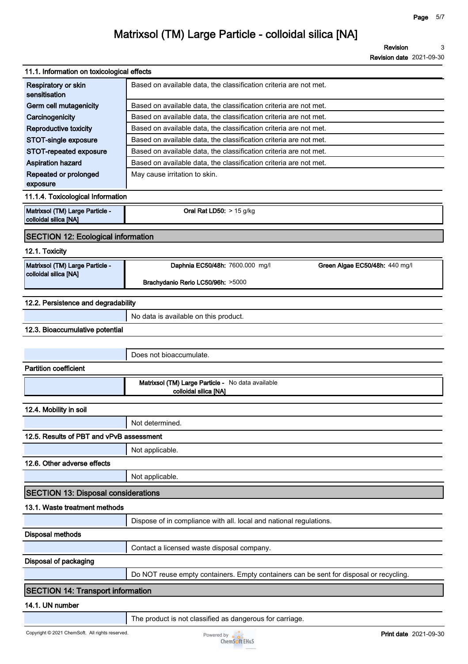**Revision Revision date 2021-09-30 3**

| 11.1. Information on toxicological effects               |                                                                                        |
|----------------------------------------------------------|----------------------------------------------------------------------------------------|
| Respiratory or skin<br>sensitisation                     | Based on available data, the classification criteria are not met.                      |
| Germ cell mutagenicity                                   | Based on available data, the classification criteria are not met.                      |
| Carcinogenicity                                          | Based on available data, the classification criteria are not met.                      |
| Reproductive toxicity                                    | Based on available data, the classification criteria are not met.                      |
| STOT-single exposure                                     | Based on available data, the classification criteria are not met.                      |
| STOT-repeated exposure                                   | Based on available data, the classification criteria are not met.                      |
| <b>Aspiration hazard</b>                                 | Based on available data, the classification criteria are not met.                      |
| Repeated or prolonged<br>exposure                        | May cause irritation to skin.                                                          |
| 11.1.4. Toxicological Information                        |                                                                                        |
| Matrixsol (TM) Large Particle -<br>colloidal silica [NA] | Oral Rat LD50: $> 15$ g/kg                                                             |
| <b>SECTION 12: Ecological information</b>                |                                                                                        |
| 12.1. Toxicity                                           |                                                                                        |
| Matrixsol (TM) Large Particle -<br>colloidal silica [NA] | Daphnia EC50/48h: 7600.000 mg/l<br>Green Algae EC50/48h: 440 mg/l                      |
|                                                          | Brachydanio Rerio LC50/96h: >5000                                                      |
| 12.2. Persistence and degradability                      |                                                                                        |
|                                                          | No data is available on this product.                                                  |
| 12.3. Bioaccumulative potential                          |                                                                                        |
|                                                          |                                                                                        |
|                                                          | Does not bioaccumulate.                                                                |
| <b>Partition coefficient</b>                             |                                                                                        |
|                                                          | Matrixsol (TM) Large Particle - No data available<br>colloidal silica [NA]             |
| 12.4. Mobility in soil                                   |                                                                                        |
|                                                          | Not determined.                                                                        |
| 12.5. Results of PBT and vPvB assessment                 |                                                                                        |
|                                                          | Not applicable.                                                                        |
| 12.6. Other adverse effects                              |                                                                                        |
|                                                          | Not applicable.                                                                        |
| <b>SECTION 13: Disposal considerations</b>               |                                                                                        |
| 13.1. Waste treatment methods                            |                                                                                        |
|                                                          | Dispose of in compliance with all. local and national regulations.                     |
| Disposal methods                                         |                                                                                        |
|                                                          | Contact a licensed waste disposal company.                                             |
| Disposal of packaging                                    |                                                                                        |
|                                                          | Do NOT reuse empty containers. Empty containers can be sent for disposal or recycling. |
| <b>SECTION 14: Transport information</b>                 |                                                                                        |
| 14.1. UN number                                          |                                                                                        |
|                                                          | The product is not classified as dangerous for carriage.                               |

J.

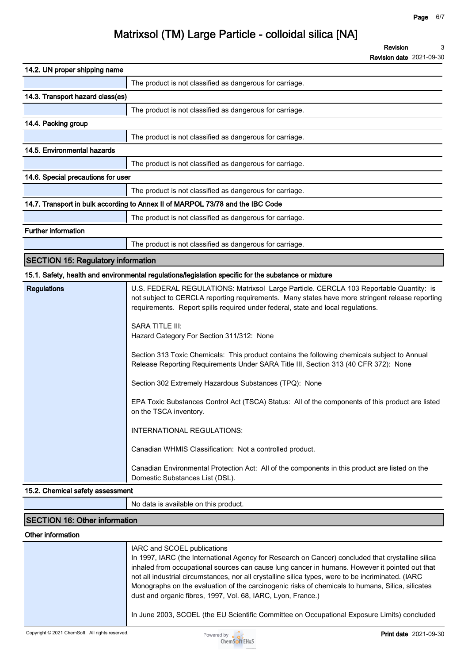**Revision Revision date 2021-09-30 3**

| 14.2. UN proper shipping name             |                                                                                |
|-------------------------------------------|--------------------------------------------------------------------------------|
|                                           | The product is not classified as dangerous for carriage.                       |
| 14.3. Transport hazard class(es)          |                                                                                |
|                                           | The product is not classified as dangerous for carriage.                       |
| 14.4. Packing group                       |                                                                                |
|                                           | The product is not classified as dangerous for carriage.                       |
| 14.5. Environmental hazards               |                                                                                |
|                                           | The product is not classified as dangerous for carriage.                       |
| 14.6. Special precautions for user        |                                                                                |
|                                           | The product is not classified as dangerous for carriage.                       |
|                                           | 14.7. Transport in bulk according to Annex II of MARPOL 73/78 and the IBC Code |
|                                           | The product is not classified as dangerous for carriage.                       |
| <b>Further information</b>                |                                                                                |
|                                           | The product is not classified as dangerous for carriage.                       |
| <b>SECTION 15: Regulatory information</b> |                                                                                |

#### **15.1. Safety, health and environmental regulations/legislation specific for the substance or mixture**

| <b>Regulations</b> | U.S. FEDERAL REGULATIONS: Matrixsol Large Particle. CERCLA 103 Reportable Quantity: is<br>not subject to CERCLA reporting requirements. Many states have more stringent release reporting<br>requirements. Report spills required under federal, state and local regulations. |
|--------------------|-------------------------------------------------------------------------------------------------------------------------------------------------------------------------------------------------------------------------------------------------------------------------------|
|                    | <b>SARA TITLE III:</b><br>Hazard Category For Section 311/312: None                                                                                                                                                                                                           |
|                    | Section 313 Toxic Chemicals: This product contains the following chemicals subject to Annual<br>Release Reporting Requirements Under SARA Title III, Section 313 (40 CFR 372): None                                                                                           |
|                    | Section 302 Extremely Hazardous Substances (TPQ): None                                                                                                                                                                                                                        |
|                    | EPA Toxic Substances Control Act (TSCA) Status: All of the components of this product are listed<br>on the TSCA inventory.                                                                                                                                                    |
|                    | INTERNATIONAL REGULATIONS:                                                                                                                                                                                                                                                    |
|                    | Canadian WHMIS Classification: Not a controlled product.                                                                                                                                                                                                                      |
|                    | Canadian Environmental Protection Act: All of the components in this product are listed on the<br>Domestic Substances List (DSL).                                                                                                                                             |

### **15.2. Chemical safety assessment**

**No data is available on this product.**

## **SECTION 16: Other information**

### **Other information**

| IARC and SCOEL publications<br>In 1997, IARC (the International Agency for Research on Cancer) concluded that crystalline silica<br>inhaled from occupational sources can cause lung cancer in humans. However it pointed out that<br>not all industrial circumstances, nor all crystalline silica types, were to be incriminated. (IARC<br>Monographs on the evaluation of the carcinogenic risks of chemicals to humans, Silica, silicates<br>dust and organic fibres, 1997, Vol. 68, IARC, Lyon, France.) |
|--------------------------------------------------------------------------------------------------------------------------------------------------------------------------------------------------------------------------------------------------------------------------------------------------------------------------------------------------------------------------------------------------------------------------------------------------------------------------------------------------------------|
| In June 2003, SCOEL (the EU Scientific Committee on Occupational Exposure Limits) concluded                                                                                                                                                                                                                                                                                                                                                                                                                  |